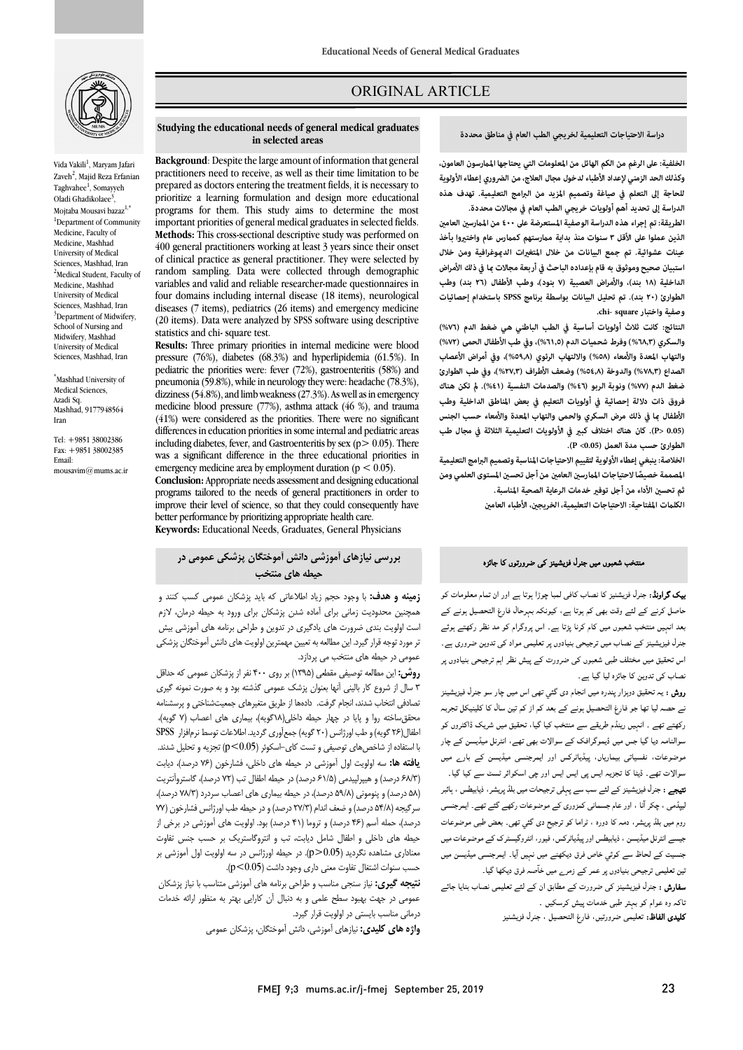

Vida Vakili<sup>1</sup>, Maryam Jafari Zaveh<sup>2</sup>, Majid Reza Erfanian Taghvahee<sup>1</sup>, Somayyeh Oladi Ghadikolaee<sup>3</sup>, Mojtaba Mousavi bazaz<sup>1,\*</sup> <sup>1</sup>Department of Community Medicine, Faculty of Medicine, Mashhad University of Medical Sciences, Mashhad, Iran <sup>2</sup>Medical Student, Faculty of Medicine, Mashhad University of Medical Sciences, Mashhad, Iran <sup>3</sup>Department of Midwifery, School of Nursing and Midwifery, Mashhad University of Medical Sciences, Mashhad, Iran

\* Mashhad University of Medical Sciences, Azadi Sq. Mashhad, 9177948564 Iran

Tel: +9851 38002386 Fax: +9851 38002385 Email: mousavim@mums.ac.ir

# ORIGINAL ARTICLE

### **دراسة الاحتياجات التعليمية لخريجي الطب العام في مناطق محددة**

ص

 **الخلفية:على الرغم من الكم الهائل من المعلومات التي يحتاجها المرسون العامون، للحاجة إلى التعلم في صياغة وتصميم المزيد من البرامج التعليمية. تهدف هذه الدراسة إلى تحديد أهم أولويات خريجي الطب العام في مجالات محددة. وكذلك الحد الزمني لإعداد الأطباء لدخول مجال العلاج، من الضروري إعطاء الأولوية** 

الطريقة: تم إجراء هذه الدراسة الوصفية المستعرضة على ٤٠٠ من الممارسين العامين **الذين عملوا على الأقل ٣ سنوات منذ بداية مرستهم كمرس عام واختوا بأخذ**  عينات عشوائية. تم جمع البيانات من خلال المتغيرات الد<u>موغرافية ومن</u> خلال<br>- **الداخلية (١٨ بند)، والأمراض العصبية (٧ بنود)، وطب الأطفال (٢٦ بند) وطب الطوارئ (٢٠ بند). تم تحليل البيانات بواسطة برنامج SPSS باستخدام إحصائيات وصفية واختبار square -chi.**  استبيان صحيح وموثوق به قام بإعداده الباحث في أربعة مجالات <sub>ك</sub>ا في ذلك الأمراض

 **النتائج: كانت ثلاث أولويات أساسية في الطب الباطني هي ضغط الدم (%٧٦)**  والسعري ( ,,,,, % ) وترت سعتيت المم (د,,,,,,, و<sub>ي</sub> تقب العصاب الرئيس )<br>والتهاب المعدة والأمعاء (٥٨٨) والالتهاب الرئوي (٥٩٫٨)، وفي أمراض الأعصاب **الصداع (%٧٨٫٣) والدوخة (%٥٤٫٨) وضعف الأطراف (%٢٧٫٣)، وفي طب الطوارئ ضغط الدم (%٧٧) ونوبة الربو (%٤٦) والصدمات النفسية (%٤١). تكن هناك فروق ذات دلالة إحصائية في أولويات التعليم في بعض المناطق الداخلية وطب**  الأطفال ما في ذلك مرض السكري والحمى والتهاب المعدة والأمعاء حسب الجنس<br>. ر.......<br>الطوارئ حسب مدة العمل (P <0.05**)**. **والسكري (%٦٨٫٣) وفرط شحميات الدم (%٦١٫٥)، وفي طب الأطفال الحمى (%٧٢) (0.05 <P(. كان هناك اختلاف كب في الأولويات التعليمية الثلاثة في مجال طب** 

 **الخلاصة: ينبغي إعطاء الأولوية لتقييم الاحتياجات المناسبة وتصميم البرامج التعليمية**  المصممة خصيصًا لاحتياجات الممارسين العامين من أجل تحسين المستوى العلمي ومن ثم تحسين الأداء من أجل توفير خدمات الرعاية الصحية المناسبة. الكلمات المفتاحية: الاحتياجات التعليمية، الخريجين، الأطباء العامين<br>.

#### **Studying the educational needs of general medical graduates in selected areas**

Ī

 practitioners need to receive, as well as their time limitation to be prepared as doctors entering the treatment fields, it is necessary to programs for them. This study aims to determine the most important priorities of general medical graduates in selected fields. 400 general practitioners working at least 3 years since their onset of clinical practice as general practitioner. They were selected by random sampling. Data were collected through demographic four domains including internal disease (18 items), neurological diseases (7 items), pediatrics (26 items) and emergency medicine **Background**: Despite the large amount of information that general prioritize a learning formulation and design more educational **Methods:** This cross-sectional descriptive study was performed on variables and valid and reliable researcher-made questionnaires in (20 items). Data were analyzed by SPSS software using descriptive statistics and chi- square test.

 **Results:** Three primary priorities in internal medicine were blood pediatric the priorities were: fever (72%), gastroenteritis (58%) and pneumonia (59.8%), while in neurology they were: headache (78.3%), medicine blood pressure (77%), asthma attack (46 %), and trauma (41%) were considered as the priorities. There were no significant including diabetes, fever, and Gastroenteritis by sex  $(p > 0.05)$ . There was a significant difference in the three educational priorities in pressure (76%), diabetes (68.3%) and hyperlipidemia (61.5%). In dizziness (54.8%), and limb weakness (27.3%). As well as in emergency differences in education priorities in some internal and pediatric areas emergency medicine area by employment duration ( $p < 0.05$ ).

 **Conclusion:** Appropriate needs assessment and designing educational programs tailored to the needs of general practitioners in order to Improve their level of science, so that they could consect<br>better performance by prioritizing appropriate health care. **Keywords:** Educational Needs, Graduates, General Physiciansimprove their level of science, so that they could consequently have

### **بررسی نیازهاي آموزشی دانش آموختگان پزشکی عمومی در حیطه هاي منتخب**

 **زمینه و هدف:** با وجود حجم زیاد اطلاعاتی که باید پزشکان عمومی کسب کنند و همچنين محتويت رهاي براي آهاده سنن پرستان براي ورود به حيصه درهان، درم<br>ست اولویت بندي ضرورت هاي يادگيري در تدوين و طراحي برنامه هاي آموزشي بيش تر مستقرر تر تر تر تر تا سال شده تر ترین را در ترین با سال دانش آموختگان پزشکی<br>نر مورد توجه قرار گیرد. این مطالعه به تعیین مهمترین اولویت های دانش آموختگان پزشکی عمومی در حیطه هاي منتخب می پردازد. همچنین محدودیت زمانی براي آماده شدن پزشکان براي ورود به حیطه درمان، لازم

 **روش:** این مطالعه توصیفی مقطعی (1395) بر روي 400 نفر از پزشکان عمومی که حداقل 3 سال از شروع کار بالینی آنها بعنوان پزشک عمومی گذشته بود و به صورت نمونه گیري تصادفی انتخاب شدند، انجام گرفت. دادهها از طریق متغیرهاي جمعیتشناختی و پرسشنامه اطفال(26 گویه)و طباورژانس (20 گویه) جمعآوري گردید. اطلاعات توسط نرمافزار SPSS با استفاده از شاخصهاي توصیفی و تست کاي-اسکوئر (0.05>p (تجزیه و تحلیل شدند. **یافته ها:** سه اولویت اول آموزشی در حیطه هاي داخلی، فشارخون (76 درصد)، دیابت (68/3 درصد) و هیپرلپیدمی (61/5 درصد) در حیطه اطفال تب (72 درصد)، گاستروآنتریت (58 درصد) و پنومونی (59/8 درصد)، در حیطه بیماري هاي اعصاب سردرد (78/3 درصد)، درصد)، حمله آسم (46 درصد) و تروما (41 درصد) بود. اولویت هاي آموزشی در برخی از حیطه هاي داخلی و اطفال شامل دیابت، تب و انتروگاستریک بر حسب جنس تفاوت معناداري مشاهده نگردید (0.05<p(. در حیطه اورژانس در سه اولویت اول آموزشی بر حسب سنوات اشتغال تفاوت معنی داري وجود داشت (0.05>p(. محققساخته روا و پایا در چهار حیطه داخلی(18گویه)، بیماري هاي اعصاب (7 گویه)، سرگیجه (54/8 درصد) و ضعف اندام (27/3 درصد) و در حیطه طب اورژانس فشارخون (77

 **نتیجه گیري:** نیاز سنجی مناسب و طراحی برنامه هاي آموزشی متناسب با نیاز پزشکان سترسی در بهت بهبود سطح حسی و به د<br>درمانی مناسب بایستی در اولویت قرار گیرد. عمومی در جهت بهبود سطح علمی و به دنبال آن کارایی بهتر به منظور ارائه خدمات

**واژه هاي کلیدي:** نیازهاي آموزشی، دانش آموختگان، پزشکان عمومی

**یک گراونڈ:** جنرل فزیشنیز کا نصاب کافی لمبا چوڑا ہوتا ہے اور ان تمام معلومات کو<br>۔ ۔ مس برنے سے بے رتب بھی سم ہو۔ ہے. بیروے بہتر دے دن مستقبل ہوتے ہے۔<br>بعد انہیں منتخب شعبوں میں کام کرنا پڑتا ہے۔ اس پروگرام کو مد نظر رکھتے ہوئے۔ ے مسیح کے مسیح کے سال ہے کہ اس کے ساتھ ہے کہ کہ ہے ۔<br>جنرل فیزیشینز کے نصاب میں ترجیحی بنیادوں پر تعلیمی مواد کی تدوین ضروری ہے۔ ۔<br>اس تحقیق میں مختلف طبی شعبوں کی ضرورت کے پیش نظر اہم ترجیحی بنیادوں پر نصاب کی تدوین کا جائزہ لیا گیا ہے۔ حاصل کرنے کے لئے وقت بھی کم ہوتا ہے، کیونکہ بمرحال فارغ التحصیل ہونے کے

ںنتخب شعبوں میں جنرل فزیشینز کی ضرورتوں کا جائزہ

**روش :** یہ تحقیق دوہزار پندرہ میں انجام دی گئي تھی اس میں چار سو جنرل فيزيشينز نے حصہ لیا تھا جو فارغ التحصیل ہونے کے بعد کم از کم تین سال کا کلینیکل تجربہ رکھتے تھے ۔ انہیں رینڈم طریقے سے منتخب کیا گیا، تحقیق میں شریک ڈاکٹروں کو سوالنامہ دیا گیا جس میں ڈیموگرافک کے سوالات بھی تھے، انٹرنل میڈیسن کے چار موضوعات، نفسیاتی بیماریاں، پیڈیاٹرکس اور ایمرجنسی میڈیسن کے بارے میں<br>. سر رت عہے۔ میت ت مبریہ بیس پی بیس بیس رز پی سمانور پر سنت سے ہیا ہے۔<br>**تیجے :** جنرل فیزیشینز کے لئے سب سے پہلی ترجیحات میں بلڈ پریشر، ذیابیطس ، ہائبر ۔ اس کے مستقل کے مسلمانی کمزوری کے موضوعات رکھے گئے تھے۔ ایمرجنسی<br>بیپڈمی ، چکر آنا ، اور عام جسمانی کمزوری کے موضوعات رکھے گئے تھے۔ ایمرجنسی .<br>روم میں بلڈ پریشر، دمہ کا دورہ ، ٹراما کو ترجیح دی گئي تھی۔ بعض طبی موضوعات جیسے انٹرنل میڈیسن ، ذیابیطس اور پیڈیاٹرکس، فیور، انٹروگیسٹرک کے موضوعات میں جنسیت کے لحاظ سے کوئي خاص فرق دیکھنے میں نہیں آیا۔ ایمرجنسی میڈیسن میں نین تعلیمی ترجیحی بنیادوں پر عمر کے زمرے میں خاّصہ فرق دیکھا گیا۔ سوالات تھے۔ ڈیٹا کا تجزیہ ایس پی ایس ایس اور چی اسکوائر ٹسٹ سے کیا گیا۔

**سفارش :** جنرل فیزیشینز کی ضرورت کے مطابق ان کے لئے تعلیمی نصاب بنایا جائے ناکہ وہ عوام کو بہتر طبی خدمات پیش کرسکیں ۔

**کلیدی الفاظ:** تعلیمی ضرورتیں، فارغ التحصیل ، جنرل فزیشنیز<br>.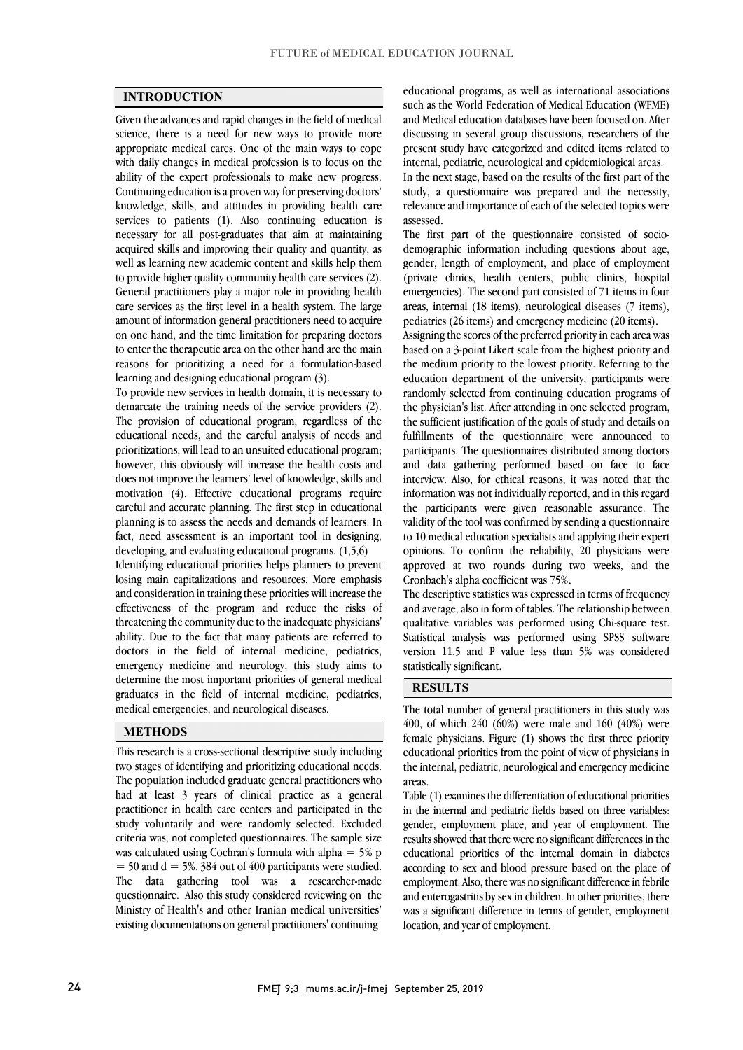### **INTRODUCTION**

 Given the advances and rapid changes in the field of medical science, there is a need for new ways to provide more appropriate medical cares. One of the main ways to cope while daily changes in included profession is to locus on the ability of the expert professionals to make new progress. Continuing education is a proven way for preserving doctors' knowledge, skills, and attitudes in providing health care services to patients (1). Also continuing education is acquired skills and improving their quality and quantity, as well as learning new academic content and skills help them to provide higher quality community health care services (2). General practitioners play a major role in providing health care services as the first level in a health system. The large on one hand, and the time limitation for preparing doctors to enter the therapeutic area on the other hand are the main reasons for prioritizing a need for a formulation-based with daily changes in medical profession is to focus on the necessary for all post-graduates that aim at maintaining amount of information general practitioners need to acquire learning and designing educational program (3).

 To provide new services in health domain, it is necessary to demarcate the training needs of the service providers (2). The provision of educational program, regardless of the educational needs, and the careful analysis of needs and prioritizations, will lead to an unsuited educational program; does not improve the learners' level of knowledge, skills and motivation (4). Effective educational programs require careful and accurate planning. The first step in educational fact, need assessment is an important tool in designing, Ï Identifying educational priorities helps planners to prevent losing main capitalizations and resources. More emphasis however, this obviously will increase the health costs and planning is to assess the needs and demands of learners. In developing, and evaluating educational programs. (1,5,6)

 effectiveness of the program and reduce the risks of threatening the community due to the inadequate physicians' ability. Due to the fact that many patients are referred to doctors in the field of internal medicine, pediatrics, determine the most important priorities of general medical graduates in the field of internal medicine, pediatrics, and consideration in training these priorities will increase the emergency medicine and neurology, this study aims to medical emergencies, and neurological diseases.

### **METHODS**

 This research is a cross-sectional descriptive study including two stages of identifying and prioritizing educational needs. The population included graduate general practitioners who had at least 3 years of clinical practice as a general study voluntarily and were randomly selected. Excluded criteria was, not completed questionnaires. The sample size was calculated using Cochran's formula with alpha  $= 5\%$  p  $=$  50 and d  $=$  5%. 384 out of 400 participants were studied. questionnaire. Also this study considered reviewing on the Ministry of Health's and other Iranian medical universities' existing documentations on general practitioners' continuing practitioner in health care centers and participated in the The data gathering tool was a researcher-made

 such as the World Federation of Medical Education (WFME) and Medical education databases have been focused on. After discussing in several group discussions, researchers of the present study have categorized and edited items related to educational programs, as well as international associations internal, pediatric, neurological and epidemiological areas.

 In the next stage, based on the results of the first part of the relevance and importance of each of the selected topics were study, a questionnaire was prepared and the necessity, assessed.

 The first part of the questionnaire consisted of socio- gender, length of employment, and place of employment (private clinics, health centers, public clinics, hospital emergencies). The second part consisted of 71 items in four areas, internal (18 items), neurological diseases (7 items), demographic information including questions about age, pediatrics (26 items) and emergency medicine (20 items).

 Assigning the scores of the preferred priority in each area was based on a 3-point Likert scale from the highest priority and the medium priority to the lowest priority. Referring to the education department of the university, participants were the physician's list. After attending in one selected program, the sufficient justification of the goals of study and details on fulfillments of the questionnaire were announced to participants. The questionnaires distributed among doctors interview. Also, for ethical reasons, it was noted that the information was not individually reported, and in this regard the participants were given reasonable assurance. The validity of the tool was confirmed by sending a questionnaire opinions. To confirm the reliability, 20 physicians were approved at two rounds during two weeks, and the randomly selected from continuing education programs of and data gathering performed based on face to face to 10 medical education specialists and applying their expert Cronbach's alpha coefficient was 75%.

 The descriptive statistics was expressed in terms of frequency qualitative variables was performed using Chi-square test. Statistical analysis was performed using SPSS software version 11.5 and P value less than 5% was considered and average, also in form of tables. The relationship between statistically significant.

# **RESULTS**

 The total number of general practitioners in this study was 400, of which 240 (60%) were male and 160 (40%) were female physicians. Figure (1) shows the first three priority the internal, pediatric, neurological and emergency medicine educational priorities from the point of view of physicians in areas.

 Table (1) examines the differentiation of educational priorities in the internal and pediatric fields based on three variables: results showed that there were no significant differences in the educational priorities of the internal domain in diabetes according to sex and blood pressure based on the place of employment. Also, there was no significant difference in febrile was a significant difference in terms of gender, employment gender, employment place, and year of employment. The and enterogastritis by sex in children. In other priorities, there location, and year of employment.

ֺׅׅ֝֬֘֝֬֝֬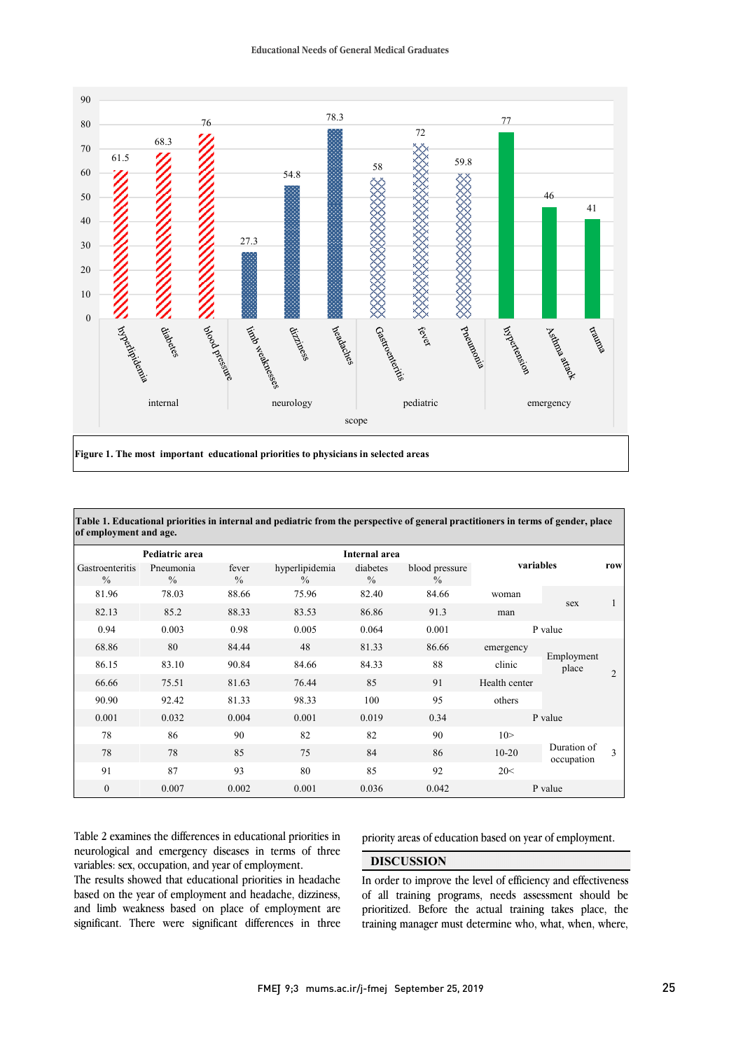

| Pediatric area                   |                            |                        |                                 | <b>Internal area</b>      |                                 |               |                           |                |
|----------------------------------|----------------------------|------------------------|---------------------------------|---------------------------|---------------------------------|---------------|---------------------------|----------------|
| Gastroenteritis<br>$\frac{0}{0}$ | Pneumonia<br>$\frac{0}{0}$ | fever<br>$\frac{0}{0}$ | hyperlipidemia<br>$\frac{0}{0}$ | diabetes<br>$\frac{0}{0}$ | blood pressure<br>$\frac{0}{0}$ | variables     |                           | row            |
| 81.96                            | 78.03                      | 88.66                  | 75.96                           | 82.40                     | 84.66                           | woman         |                           |                |
| 82.13                            | 85.2                       | 88.33                  | 83.53                           | 86.86                     | 91.3                            | man           | sex                       |                |
| 0.94                             | 0.003                      | 0.98                   | 0.005                           | 0.064                     | 0.001                           | P value       |                           |                |
| 68.86                            | 80                         | 84.44                  | 48                              | 81.33                     | 86.66                           | emergency     | Employment<br>place       | $\overline{2}$ |
| 86.15                            | 83.10                      | 90.84                  | 84.66                           | 84.33                     | 88                              | clinic        |                           |                |
| 66.66                            | 75.51                      | 81.63                  | 76.44                           | 85                        | 91                              | Health center |                           |                |
| 90.90                            | 92.42                      | 81.33                  | 98.33                           | 100                       | 95                              | others        |                           |                |
| 0.001                            | 0.032                      | 0.004                  | 0.001                           | 0.019                     | 0.34                            | P value       |                           |                |
| 78                               | 86                         | 90                     | 82                              | 82                        | 90                              | 10 >          | Duration of<br>occupation | $\mathbf{3}$   |
| 78                               | 78                         | 85                     | 75                              | 84                        | 86                              | $10 - 20$     |                           |                |
| 91                               | 87                         | 93                     | 80                              | 85                        | 92                              | 20<           |                           |                |
| $\mathbf{0}$                     | 0.007                      | 0.002                  | 0.001                           | 0.036                     | 0.042                           | P value       |                           |                |

j

 Table 2 examines the differences in educational priorities in neurological and emergency diseases in terms of three variables: sex, occupation, and year of employment.

variables: sex, occupation, and year of employment.<br>The results showed that educational priorities in headache based on the year of employment and headache, dizziness, and limb weakness based on place of employment are significant. There were significant differences in three priority areas of education based on year of employment.

### **DISCUSSION**

In order to improve the level of efficiency and effectiveness of all training programs, needs assessment should be prioritized. Before the actual training takes place, the training manager must determine who, what, when, where,

í

ֺ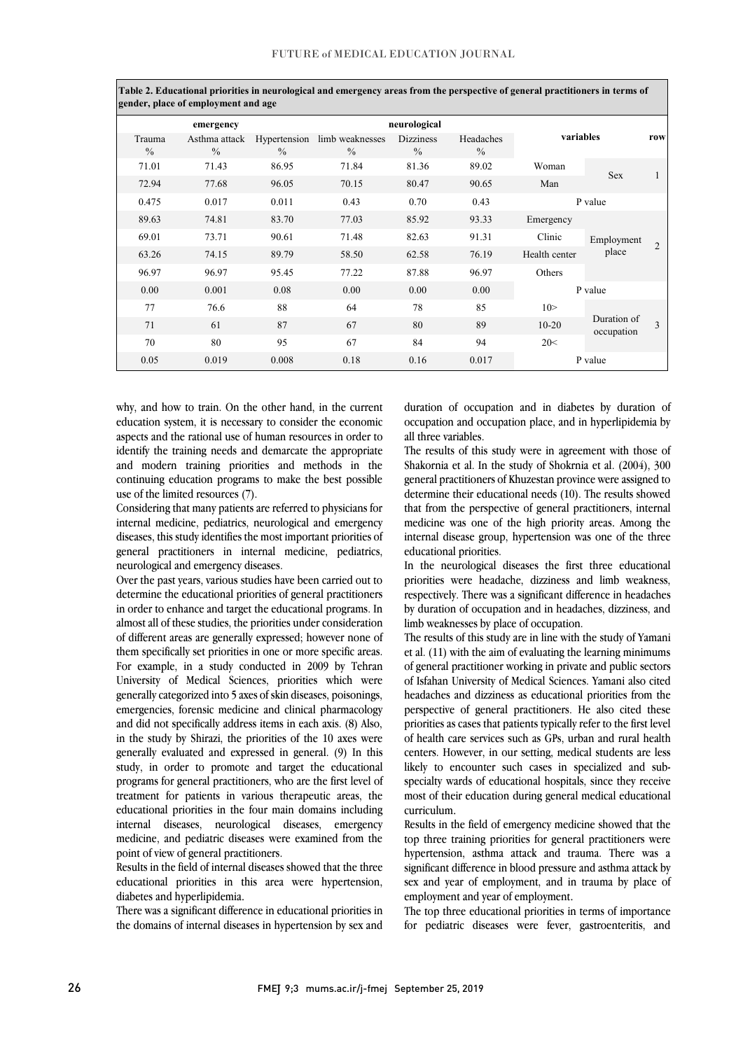|                         | gender, place of employment and age |                               |                                  |                          |                            |               |                           |                |
|-------------------------|-------------------------------------|-------------------------------|----------------------------------|--------------------------|----------------------------|---------------|---------------------------|----------------|
|                         | emergency                           |                               |                                  | neurological             |                            |               |                           |                |
| Trauma<br>$\frac{0}{0}$ | Asthma attack<br>$\frac{0}{0}$      | Hypertension<br>$\frac{0}{0}$ | limb weaknesses<br>$\frac{0}{0}$ | <b>Dizziness</b><br>$\%$ | Headaches<br>$\frac{0}{0}$ | variables     |                           | row            |
| 71.01                   | 71.43                               | 86.95                         | 71.84                            | 81.36                    | 89.02                      | Woman         | Sex                       |                |
| 72.94                   | 77.68                               | 96.05                         | 70.15                            | 80.47                    | 90.65                      | Man           |                           |                |
| 0.475                   | 0.017                               | 0.011                         | 0.43                             | 0.70                     | 0.43                       | P value       |                           |                |
| 89.63                   | 74.81                               | 83.70                         | 77.03                            | 85.92                    | 93.33                      | Emergency     | Employment<br>place       | $\mathfrak{D}$ |
| 69.01                   | 73.71                               | 90.61                         | 71.48                            | 82.63                    | 91.31                      | Clinic        |                           |                |
| 63.26                   | 74.15                               | 89.79                         | 58.50                            | 62.58                    | 76.19                      | Health center |                           |                |
| 96.97                   | 96.97                               | 95.45                         | 77.22                            | 87.88                    | 96.97                      | Others        |                           |                |
| 0.00                    | 0.001                               | 0.08                          | 0.00                             | 0.00                     | 0.00                       | P value       |                           |                |
| 77                      | 76.6                                | 88                            | 64                               | 78                       | 85                         | 10 >          | Duration of<br>occupation | $\mathbf{3}$   |
| 71                      | 61                                  | 87                            | 67                               | 80                       | 89                         | $10 - 20$     |                           |                |
| 70                      | 80                                  | 95                            | 67                               | 84                       | 94                         | 20<           |                           |                |
| 0.05                    | 0.019                               | 0.008                         | 0.18                             | 0.16                     | 0.017                      | P value       |                           |                |

 $\overline{1}$ **Table 2. Educational priorities in neurological and emergency areas from the perspective of general practitioners in terms of** 

 why, and how to train. On the other hand, in the current education system, it is necessary to consider the economic aspects and the rational use of human resources in order to identify the training needs and demarcate the appropriate continuing education programs to make the best possible and modern training priorities and methods in the use of the limited resources (7).

 Considering that many patients are referred to physicians for internal medicine, pediatrics, neurological and emergency general practitioners in internal medicine, pediatrics, diseases, this study identifies the most important priorities of neurological and emergency diseases.

 Over the past years, various studies have been carried out to in order to enhance and target the educational programs. In almost all of these studies, the priorities under consideration of different areas are generally expressed; however none of them specifically set priorities in one or more specific areas. University of Medical Sciences, priorities which were generally categorized into 5 axes of skin diseases, poisonings, emergencies, forensic medicine and clinical pharmacology and did not specifically address items in each axis. (8) Also, study, in order to promote and target the educational programs for general practitioners, who are the first level of treatment for patients in various therapeutic areas, the internal diseases, neurological diseases, emergency medicine, and pediatric diseases were examined from the determine the educational priorities of general practitioners For example, in a study conducted in 2009 by Tehran in the study by Shirazi, the priorities of the 10 axes were generally evaluated and expressed in general. (9) In this educational priorities in the four main domains including point of view of general practitioners.

Results in the field of internal diseases showed that the three educational priorities in this area were hypertension, diabetes and hyperlipidemia.

There was a significant difference in educational priorities in the domains of internal diseases in hypertension by sex and

 duration of occupation and in diabetes by duration of occupation and occupation place, and in hyperlipidemia by all three variables.

ì

The results of this study were in agreement with those of general practitioners of Khuzestan province were assigned to determine their educational needs (10). The results showed that from the perspective of general practitioners, internal medicine was one of the high priority areas. Among the internal disease group, hypertension was one of the three Shakornia et al. In the study of Shokrnia et al. (2004), 300 educational priorities.

 In the neurological diseases the first three educational priorities were headache, dizziness and limb weakness, by duration of occupation and in headaches, dizziness, and respectively. There was a significant difference in headaches limb weaknesses by place of occupation.

 The results of this study are in line with the study of Yamani et al. (11) with the aim of evaluating the learning minimums of general practitioner working in private and public sectors headaches and dizziness as educational priorities from the perspective of general practitioners. He also cited these priorities as cases that patients typically refer to the first level centers. However, in our setting, medical students are less likely to encounter such cases in specialized and sub- specialty wards of educational hospitals, since they receive most of their education during general medical educational of Isfahan University of Medical Sciences. Yamani also cited of health care services such as GPs, urban and rural health curriculum.

 Results in the field of emergency medicine showed that the top three training priorities for general practitioners were hypertension, asthma attack and trauma. There was a significant difference in blood pressure and asthma attack by sex and year of employment, and in trauma by place of employment and year of employment.

 The top three educational priorities in terms of importance for pediatric diseases were fever, gastroenteritis, and